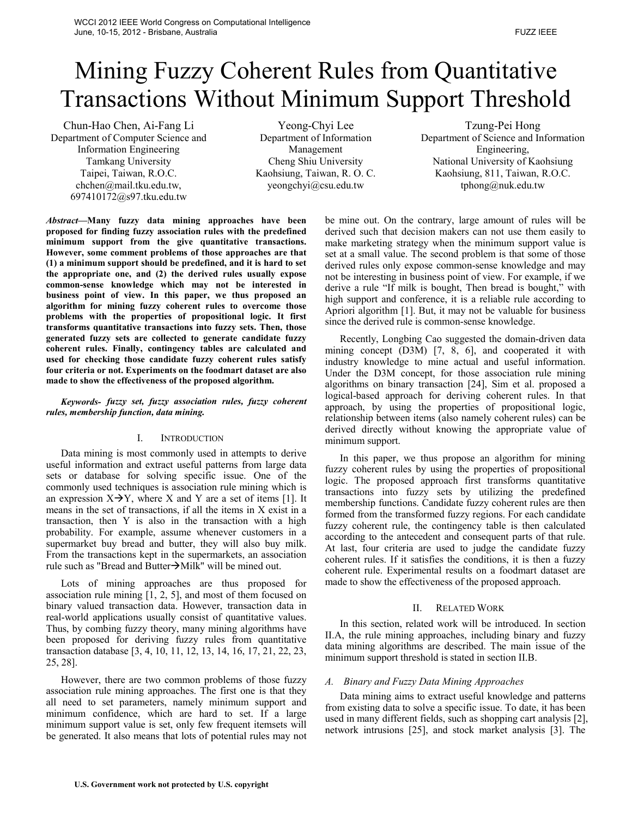# Mining Fuzzy Coherent Rules from Quantitative Transactions Without Minimum Support Threshold

Chun-Hao Chen, Ai-Fang Li Department of Computer Science and Information Engineering Tamkang University Taipei, Taiwan, R.O.C. chchen@mail.tku.edu.tw, 697410172@s97.tku.edu.tw

Yeong-Chyi Lee Department of Information Management Cheng Shiu University Kaohsiung, Taiwan, R. O. C. yeongchyi@csu.edu.tw

Tzung-Pei Hong Department of Science and Information Engineering, National University of Kaohsiung Kaohsiung, 811, Taiwan, R.O.C. tphong@nuk.edu.tw

*Abstract***—Many fuzzy data mining approaches have been proposed for finding fuzzy association rules with the predefined minimum support from the give quantitative transactions. However, some comment problems of those approaches are that (1) a minimum support should be predefined, and it is hard to set the appropriate one, and (2) the derived rules usually expose common-sense knowledge which may not be interested in business point of view. In this paper, we thus proposed an algorithm for mining fuzzy coherent rules to overcome those problems with the properties of propositional logic. It first transforms quantitative transactions into fuzzy sets. Then, those generated fuzzy sets are collected to generate candidate fuzzy coherent rules. Finally, contingency tables are calculated and used for checking those candidate fuzzy coherent rules satisfy four criteria or not. Experiments on the foodmart dataset are also made to show the effectiveness of the proposed algorithm.**  WCCI 2012 IEEE World Congress on Computational Intelligence<br> **Minimage Fuzzy Coherent of Congress on Computational Intelligence**<br> **Minimage Congress on Computations WithNOUt Minimage University of the Computation Explane<br>** 

*Keywords- fuzzy set, fuzzy association rules, fuzzy coherent rules, membership function, data mining.* 

## I. INTRODUCTION

Data mining is most commonly used in attempts to derive useful information and extract useful patterns from large data sets or database for solving specific issue. One of the commonly used techniques is association rule mining which is an expression  $X \rightarrow Y$ , where X and Y are a set of items [1]. It means in the set of transactions, if all the items in X exist in a transaction, then Y is also in the transaction with a high probability. For example, assume whenever customers in a supermarket buy bread and butter, they will also buy milk. From the transactions kept in the supermarkets, an association rule such as "Bread and Butter $\rightarrow$ Milk" will be mined out.

Lots of mining approaches are thus proposed for association rule mining  $\left[1, 2, 5\right]$ , and most of them focused on binary valued transaction data. However, transaction data in real-world applications usually consist of quantitative values. Thus, by combing fuzzy theory, many mining algorithms have been proposed for deriving fuzzy rules from quantitative transaction database [3, 4, 10, 11, 12, 13, 14, 16, 17, 21, 22, 23, 25, 28].

However, there are two common problems of those fuzzy association rule mining approaches. The first one is that they all need to set parameters, namely minimum support and minimum confidence, which are hard to set. If a large minimum support value is set, only few frequent itemsets will be generated. It also means that lots of potential rules may not be mine out. On the contrary, large amount of rules will be derived such that decision makers can not use them easily to make marketing strategy when the minimum support value is set at a small value. The second problem is that some of those derived rules only expose common-sense knowledge and may not be interesting in business point of view. For example, if we derive a rule "If milk is bought, Then bread is bought," with high support and conference, it is a reliable rule according to Apriori algorithm [1]. But, it may not be valuable for business since the derived rule is common-sense knowledge.

Recently, Longbing Cao suggested the domain-driven data mining concept (D3M) [7, 8, 6], and cooperated it with industry knowledge to mine actual and useful information. Under the D3M concept, for those association rule mining algorithms on binary transaction [24], Sim et al. proposed a logical-based approach for deriving coherent rules. In that approach, by using the properties of propositional logic, relationship between items (also namely coherent rules) can be derived directly without knowing the appropriate value of minimum support.

In this paper, we thus propose an algorithm for mining fuzzy coherent rules by using the properties of propositional logic. The proposed approach first transforms quantitative transactions into fuzzy sets by utilizing the predefined membership functions. Candidate fuzzy coherent rules are then formed from the transformed fuzzy regions. For each candidate fuzzy coherent rule, the contingency table is then calculated according to the antecedent and consequent parts of that rule. At last, four criteria are used to judge the candidate fuzzy coherent rules. If it satisfies the conditions, it is then a fuzzy coherent rule. Experimental results on a foodmart dataset are made to show the effectiveness of the proposed approach.

## II. RELATED WORK

In this section, related work will be introduced. In section II.A, the rule mining approaches, including binary and fuzzy data mining algorithms are described. The main issue of the minimum support threshold is stated in section II.B.

## *A. Binary and Fuzzy Data Mining Approaches*

Data mining aims to extract useful knowledge and patterns from existing data to solve a specific issue. To date, it has been used in many different fields, such as shopping cart analysis [2], network intrusions [25], and stock market analysis [3]. The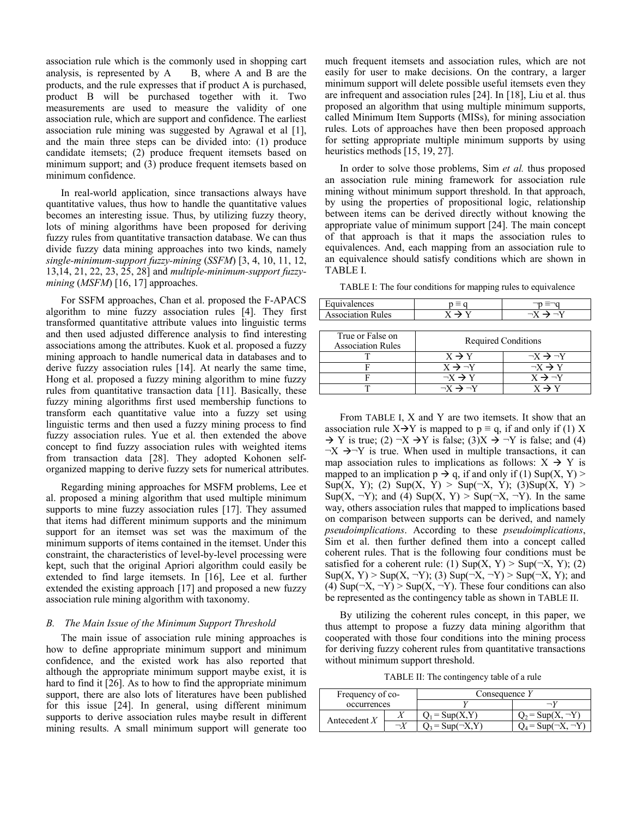association rule which is the commonly used in shopping cart analysis, is represented by  $A$  B, where A and B are the products, and the rule expresses that if product A is purchased, product B will be purchased together with it. Two measurements are used to measure the validity of one association rule, which are support and confidence. The earliest association rule mining was suggested by Agrawal et al [1], and the main three steps can be divided into: (1) produce candidate itemsets; (2) produce frequent itemsets based on minimum support; and (3) produce frequent itemsets based on minimum confidence.

In real-world application, since transactions always have quantitative values, thus how to handle the quantitative values becomes an interesting issue. Thus, by utilizing fuzzy theory, lots of mining algorithms have been proposed for deriving fuzzy rules from quantitative transaction database. We can thus divide fuzzy data mining approaches into two kinds, namely *single-minimum-support fuzzy-mining* (*SSFM*) [3, 4, 10, 11, 12, 13,14, 21, 22, 23, 25, 28] and *multiple-minimum-support fuzzymining* (*MSFM*) [16, 17] approaches.

For SSFM approaches, Chan et al. proposed the F-APACS algorithm to mine fuzzy association rules [4]. They first transformed quantitative attribute values into linguistic terms and then used adjusted difference analysis to find interesting associations among the attributes. Kuok et al. proposed a fuzzy mining approach to handle numerical data in databases and to derive fuzzy association rules [14]. At nearly the same time, Hong et al. proposed a fuzzy mining algorithm to mine fuzzy rules from quantitative transaction data [11]. Basically, these fuzzy mining algorithms first used membership functions to transform each quantitative value into a fuzzy set using linguistic terms and then used a fuzzy mining process to find fuzzy association rules. Yue et al. then extended the above concept to find fuzzy association rules with weighted items from transaction data [28]. They adopted Kohonen selforganized mapping to derive fuzzy sets for numerical attributes.

Regarding mining approaches for MSFM problems, Lee et al. proposed a mining algorithm that used multiple minimum supports to mine fuzzy association rules [17]. They assumed that items had different minimum supports and the minimum support for an itemset was set was the maximum of the minimum supports of items contained in the itemset. Under this constraint, the characteristics of level-by-level processing were kept, such that the original Apriori algorithm could easily be extended to find large itemsets. In [16], Lee et al. further extended the existing approach [17] and proposed a new fuzzy association rule mining algorithm with taxonomy.

#### *B. The Main Issue of the Minimum Support Threshold*

The main issue of association rule mining approaches is how to define appropriate minimum support and minimum confidence, and the existed work has also reported that although the appropriate minimum support maybe exist, it is hard to find it [26]. As to how to find the appropriate minimum support, there are also lots of literatures have been published for this issue [24]. In general, using different minimum supports to derive association rules maybe result in different mining results. A small minimum support will generate too much frequent itemsets and association rules, which are not easily for user to make decisions. On the contrary, a larger minimum support will delete possible useful itemsets even they are infrequent and association rules [24]. In [18], Liu et al. thus proposed an algorithm that using multiple minimum supports, called Minimum Item Supports (MISs), for mining association rules. Lots of approaches have then been proposed approach for setting appropriate multiple minimum supports by using heuristics methods [15, 19, 27].

In order to solve those problems, Sim *et al.* thus proposed an association rule mining framework for association rule mining without minimum support threshold. In that approach, by using the properties of propositional logic, relationship between items can be derived directly without knowing the appropriate value of minimum support [24]. The main concept of that approach is that it maps the association rules to equivalences. And, each mapping from an association rule to an equivalence should satisfy conditions which are shown in TABLE I.

TABLE I: The four conditions for mapping rules to equivalence

| Equivalences                                 |                                     |                             |  |
|----------------------------------------------|-------------------------------------|-----------------------------|--|
| <b>Association Rules</b>                     | $\mathrm{v} \rightarrow \mathrm{v}$ | $\neg X \rightarrow \neg Y$ |  |
|                                              |                                     |                             |  |
| True or False on<br><b>Association Rules</b> | Required Conditions                 |                             |  |
|                                              | $X \rightarrow Y$                   | $\neg X \rightarrow \neg Y$ |  |
|                                              | $Y \rightarrow \neg V$              | $\neg$ x $\rightarrow$ Y    |  |

F  $\neg X \rightarrow Y$   $X \rightarrow \neg Y$ T  $\neg X \rightarrow \neg Y$   $X \rightarrow Y$ 

From TABLE I, X and Y are two itemsets. It show that an association rule  $X \rightarrow Y$  is mapped to  $p \equiv q$ , if and only if (1) X  $\rightarrow$  Y is true; (2)  $\neg X \rightarrow Y$  is false; (3)X  $\rightarrow \neg Y$  is false; and (4)  $\neg X \rightarrow \neg Y$  is true. When used in multiple transactions, it can map association rules to implications as follows:  $X \rightarrow Y$  is mapped to an implication  $p \rightarrow q$ , if and only if (1) Sup(X, Y) >  $Sup(X, Y)$ ; (2)  $Sup(X, Y) > Sup(-X, Y)$ ; (3) $Sup(X, Y) >$  $Sup(X, \neg Y)$ ; and (4)  $Sup(X, Y) > Sup(\neg X, \neg Y)$ . In the same way, others association rules that mapped to implications based on comparison between supports can be derived, and namely *pseudoimplications*. According to these *pseudoimplications*, Sim et al. then further defined them into a concept called coherent rules. That is the following four conditions must be satisfied for a coherent rule: (1)  $\text{Sup}(X, Y) > \text{Sup}(\neg X, Y)$ ; (2)  $Sup(X, Y) > Sup(X, \neg Y)$ ; (3)  $Sup(\neg X, \neg Y) > Sup(\neg X, Y)$ ; and (4)  $\text{Sup}(\neg X, \neg Y) > \text{Sup}(X, \neg Y)$ . These four conditions can also be represented as the contingency table as shown in TABLE II.

By utilizing the coherent rules concept, in this paper, we thus attempt to propose a fuzzy data mining algorithm that cooperated with those four conditions into the mining process for deriving fuzzy coherent rules from quantitative transactions without minimum support threshold.

TABLE II: The contingency table of a rule

| Frequency of co- |          | Consequence <i>Y</i> |                               |
|------------------|----------|----------------------|-------------------------------|
| occurrences      |          |                      |                               |
| Antecedent $X$   |          | $O_1$ = Sup(X, Y)    | $Q_2 = \text{Sub}(X, \neg Y)$ |
|                  | $\neg x$ | $=$ Sup( $\neg$ X,Y) | $=$ Supr                      |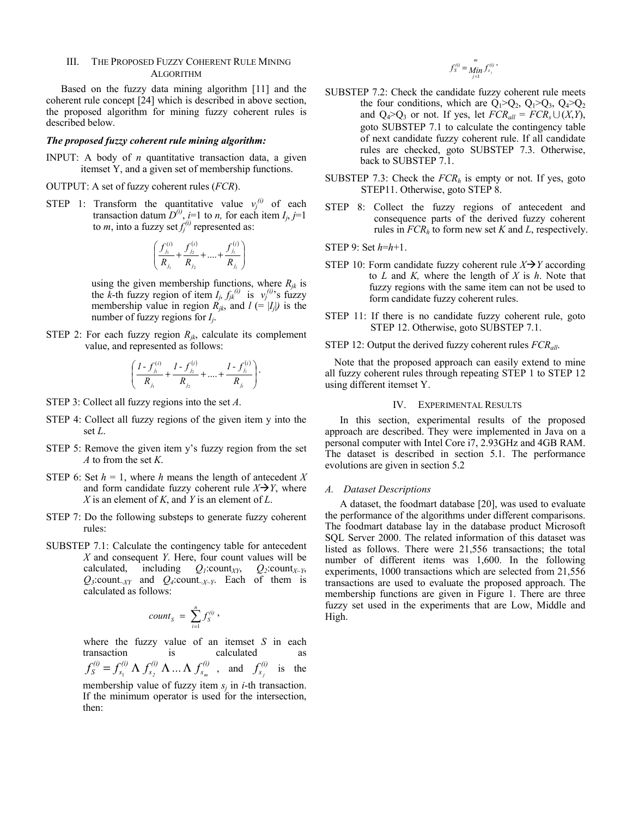## III. THE PROPOSED FUZZY COHERENT RULE MINING ALGORITHM

Based on the fuzzy data mining algorithm [11] and the coherent rule concept [24] which is described in above section, the proposed algorithm for mining fuzzy coherent rules is described below.

## *The proposed fuzzy coherent rule mining algorithm:*

- INPUT: A body of *n* quantitative transaction data, a given itemset Y, and a given set of membership functions.
- OUTPUT: A set of fuzzy coherent rules (*FCR*).
- STEP 1: Transform the quantitative value  $v_j^{(i)}$  of each transaction datum  $D^{(i)}$ , *i*=1 to *n*, for each item  $I_j$ , *j*=1 to *m*, into a fuzzy set  $f_j^{(i)}$  represented as:

$$
\left(\frac{f_{j_1}^{(i)}}{R_{j_1}} + \frac{f_{j_2}^{(i)}}{R_{j_2}} + \dots + \frac{f_{j_l}^{(i)}}{R_{j_l}}\right)
$$

using the given membership functions, where  $R_{jk}$  is the *k*-th fuzzy region of item  $I_j$ ,  $f_{jk}^{(i)}$  is  $v_j^{(i)}$ 's fuzzy membership value in region  $\overline{R}_{jk}$ , and  $l = |I_j|$  is the number of fuzzy regions for *Ij*.

STEP 2: For each fuzzy region  $R_{jk}$ , calculate its complement value, and represented as follows:

$$
\left(\frac{I-f_{j_1}^{(i)}}{R_{j_1}}+\frac{I-f_{j_2}^{(i)}}{R_{j_2}}+\ldots+\frac{I-f_{j_l}^{(i)}}{R_{j_l}}\right).
$$

- STEP 3: Collect all fuzzy regions into the set *A*.
- STEP 4: Collect all fuzzy regions of the given item y into the set *L*.
- STEP 5: Remove the given item y's fuzzy region from the set *A* to from the set *K*.
- STEP 6: Set  $h = 1$ , where *h* means the length of antecedent *X* and form candidate fuzzy coherent rule  $X \rightarrow Y$ , where *X* is an element of *K*, and *Y* is an element of *L*.
- STEP 7: Do the following substeps to generate fuzzy coherent rules:
- SUBSTEP 7.1: Calculate the contingency table for antecedent *X* and consequent *Y*. Here, four count values will be calculated, including  $Q_1$ :count<sub>*XY*</sub>,  $Q_2$ :count<sub>*X*~*Y*,</sub>  $Q_3$ :count<sub>*xY*</sub> and  $Q_4$ :count<sub>*xXy*</sub>. Each of them is calculated as follows:

$$
count_{S} = \sum_{i=1}^{n} f_{S}^{(i)},
$$

where the fuzzy value of an itemset *S* in each transaction is calculated as *(i) s (i) s (i) s*  $f_S^{(i)} = f_{s_1}^{(i)} \Lambda f_{s_2}^{(i)} \Lambda ... \Lambda f_{s_m}^{(i)}$ , and  $f_{s_j}^{(i)}$  is the membership value of fuzzy item  $s_j$  in *i*-th transaction. If the minimum operator is used for the intersection, then:

$$
f_{S}^{(i)} = \min_{j=1}^{m} f_{s_j}^{(i)}.
$$

- SUBSTEP 7.2: Check the candidate fuzzy coherent rule meets the four conditions, which are  $Q_1 > Q_2$ ,  $Q_1 > Q_3$ ,  $Q_4 > Q_2$ and  $Q_4 > Q_3$  or not. If yes, let  $FCR_{all} = FCR_s \cup (X,Y)$ , goto SUBSTEP 7.1 to calculate the contingency table of next candidate fuzzy coherent rule. If all candidate rules are checked, goto SUBSTEP 7.3. Otherwise, back to SUBSTEP 7.1.
- SUBSTEP 7.3: Check the  $FCR<sub>h</sub>$  is empty or not. If yes, goto STEP11. Otherwise, goto STEP 8.
- STEP 8: Collect the fuzzy regions of antecedent and consequence parts of the derived fuzzy coherent rules in  $FCR<sub>h</sub>$  to form new set *K* and *L*, respectively.
- STEP 9: Set *h*=*h*+1.
- STEP 10: Form candidate fuzzy coherent rule  $X \rightarrow Y$  according to *L* and *K,* where the length of *X* is *h*. Note that fuzzy regions with the same item can not be used to form candidate fuzzy coherent rules.
- STEP 11: If there is no candidate fuzzy coherent rule, goto STEP 12. Otherwise, goto SUBSTEP 7.1.
- STEP 12: Output the derived fuzzy coherent rules *FCRall*.

Note that the proposed approach can easily extend to mine all fuzzy coherent rules through repeating STEP 1 to STEP 12 using different itemset Y.

## IV. EXPERIMENTAL RESULTS

In this section, experimental results of the proposed approach are described. They were implemented in Java on a personal computer with Intel Core i7, 2.93GHz and 4GB RAM. The dataset is described in section 5.1. The performance evolutions are given in section 5.2

#### *A. Dataset Descriptions*

A dataset, the foodmart database [20], was used to evaluate the performance of the algorithms under different comparisons. The foodmart database lay in the database product Microsoft SQL Server 2000. The related information of this dataset was listed as follows. There were 21,556 transactions; the total number of different items was 1,600. In the following experiments, 1000 transactions which are selected from 21,556 transactions are used to evaluate the proposed approach. The membership functions are given in Figure 1. There are three fuzzy set used in the experiments that are Low, Middle and High.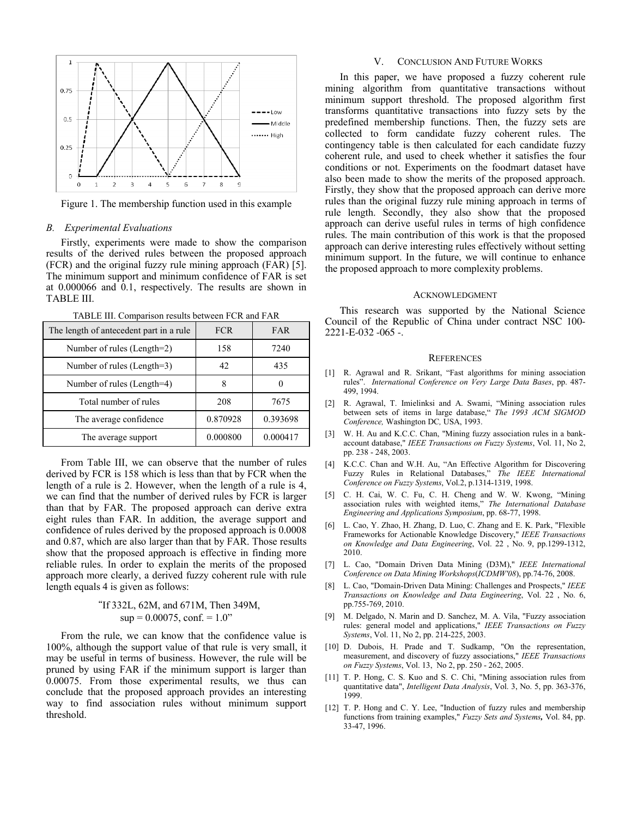

Figure 1. The membership function used in this example

#### *B. Experimental Evaluations*

Firstly, experiments were made to show the comparison results of the derived rules between the proposed approach (FCR) and the original fuzzy rule mining approach (FAR) [5]. The minimum support and minimum confidence of FAR is set at 0.000066 and 0.1, respectively. The results are shown in TABLE III.

| The length of antecedent part in a rule. | <b>FCR</b> | FAR          |
|------------------------------------------|------------|--------------|
| Number of rules (Length=2)               | 158        | 7240         |
| Number of rules (Length=3)               | 42         | 435          |
| Number of rules (Length=4)               | 8          | $\mathbf{0}$ |
| Total number of rules                    | 208        | 7675         |
| The average confidence                   | 0.870928   | 0.393698     |
| The average support                      | 0.000800   | 0.000417     |

TABLE III. Comparison results between FCR and FAR

From Table III, we can observe that the number of rules derived by FCR is 158 which is less than that by FCR when the length of a rule is 2. However, when the length of a rule is 4, we can find that the number of derived rules by FCR is larger than that by FAR. The proposed approach can derive extra eight rules than FAR. In addition, the average support and confidence of rules derived by the proposed approach is 0.0008 and 0.87, which are also larger than that by FAR. Those results show that the proposed approach is effective in finding more reliable rules. In order to explain the merits of the proposed approach more clearly, a derived fuzzy coherent rule with rule length equals 4 is given as follows:

# "If 332L, 62M, and 671M, Then 349M,  $\sup = 0.00075$ , conf. = 1.0"

From the rule, we can know that the confidence value is 100%, although the support value of that rule is very small, it may be useful in terms of business. However, the rule will be pruned by using FAR if the minimum support is larger than 0.00075. From those experimental results, we thus can conclude that the proposed approach provides an interesting way to find association rules without minimum support threshold.

#### V. CONCLUSION AND FUTURE WORKS

In this paper, we have proposed a fuzzy coherent rule mining algorithm from quantitative transactions without minimum support threshold. The proposed algorithm first transforms quantitative transactions into fuzzy sets by the predefined membership functions. Then, the fuzzy sets are collected to form candidate fuzzy coherent rules. The contingency table is then calculated for each candidate fuzzy coherent rule, and used to cheek whether it satisfies the four conditions or not. Experiments on the foodmart dataset have also been made to show the merits of the proposed approach. Firstly, they show that the proposed approach can derive more rules than the original fuzzy rule mining approach in terms of rule length. Secondly, they also show that the proposed approach can derive useful rules in terms of high confidence rules. The main contribution of this work is that the proposed approach can derive interesting rules effectively without setting minimum support. In the future, we will continue to enhance the proposed approach to more complexity problems.

#### ACKNOWLEDGMENT

This research was supported by the National Science Council of the Republic of China under contract NSC 100- 2221-E-032 -065 -.

#### **REFERENCES**

- [1] R. Agrawal and R. Srikant, "Fast algorithms for mining association rules". *International Conference on Very Large Data Bases*, pp. 487- 499, 1994.
- [2] R. Agrawal, T. Imielinksi and A. Swami, "Mining association rules between sets of items in large database," *The 1993 ACM SIGMOD Conference,* Washington DC*,* USA, 1993.
- [3] W. H. Au and K.C.C. Chan, "Mining fuzzy association rules in a bankaccount database," *IEEE Transactions on Fuzzy Systems*, Vol. 11, No 2, pp. 238 - 248, 2003.
- [4] K.C.C. Chan and W.H. Au, "An Effective Algorithm for Discovering Fuzzy Rules in Relational Databases," *The IEEE International Conference on Fuzzy Systems*, Vol.2, p.1314-1319, 1998.
- [5] C. H. Cai, W. C. Fu, C. H. Cheng and W. W. Kwong, "Mining association rules with weighted items," *The International Database Engineering and Applications Symposium*, pp. 68-77, 1998.
- [6] L. Cao, Y. Zhao, H. Zhang, D. Luo, C. Zhang and E. K. Park, "Flexible Frameworks for Actionable Knowledge Discovery," *IEEE Transactions on Knowledge and Data Engineering*, Vol. 22 , No. 9, pp.1299-1312, 2010.
- [7] L. Cao, "Domain Driven Data Mining (D3M)," *IEEE International Conference on Data Mining Workshops*(*ICDMW'08*), pp.74-76, 2008.
- [8] L. Cao, "Domain-Driven Data Mining: Challenges and Prospects," *IEEE Transactions on Knowledge and Data Engineering*, Vol. 22 , No. 6, pp.755-769, 2010.
- [9] M. Delgado, N. Marin and D. Sanchez, M. A. Vila, "Fuzzy association rules: general model and applications," *IEEE Transactions on Fuzzy Systems*, Vol. 11, No 2, pp. 214-225, 2003.
- [10] D. Dubois, H. Prade and T. Sudkamp, "On the representation, measurement, and discovery of fuzzy associations," *IEEE Transactions on Fuzzy Systems*, Vol. 13, No 2, pp. 250 - 262, 2005.
- [11] T. P. Hong, C. S. Kuo and S. C. Chi, "Mining association rules from quantitative data", *Intelligent Data Analysis*, Vol. 3, No. 5, pp. 363-376, 1999.
- [12] T. P. Hong and C. Y. Lee, "Induction of fuzzy rules and membership functions from training examples," *Fuzzy Sets and Systems,* Vol. 84, pp. 33-47, 1996.